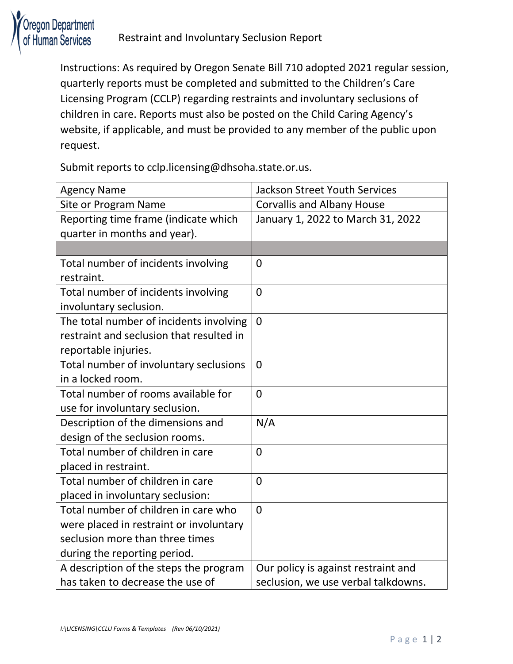

Instructions: As required by Oregon Senate Bill 710 adopted 2021 regular session, quarterly reports must be completed and submitted to the Children's Care Licensing Program (CCLP) regarding restraints and involuntary seclusions of children in care. Reports must also be posted on the Child Caring Agency's website, if applicable, and must be provided to any member of the public upon request.

Submit reports to cclp.licensing@dhsoha.state.or.us.

| <b>Agency Name</b>                       | <b>Jackson Street Youth Services</b> |
|------------------------------------------|--------------------------------------|
| Site or Program Name                     | <b>Corvallis and Albany House</b>    |
| Reporting time frame (indicate which     | January 1, 2022 to March 31, 2022    |
| quarter in months and year).             |                                      |
|                                          |                                      |
| Total number of incidents involving      | $\overline{0}$                       |
| restraint.                               |                                      |
| Total number of incidents involving      | $\overline{0}$                       |
| involuntary seclusion.                   |                                      |
| The total number of incidents involving  | $\overline{0}$                       |
| restraint and seclusion that resulted in |                                      |
| reportable injuries.                     |                                      |
| Total number of involuntary seclusions   | $\overline{0}$                       |
| in a locked room.                        |                                      |
| Total number of rooms available for      | $\Omega$                             |
| use for involuntary seclusion.           |                                      |
| Description of the dimensions and        | N/A                                  |
| design of the seclusion rooms.           |                                      |
| Total number of children in care         | $\overline{0}$                       |
| placed in restraint.                     |                                      |
| Total number of children in care         | $\overline{0}$                       |
| placed in involuntary seclusion:         |                                      |
| Total number of children in care who     | $\overline{0}$                       |
| were placed in restraint or involuntary  |                                      |
| seclusion more than three times          |                                      |
| during the reporting period.             |                                      |
| A description of the steps the program   | Our policy is against restraint and  |
| has taken to decrease the use of         | seclusion, we use verbal talkdowns.  |